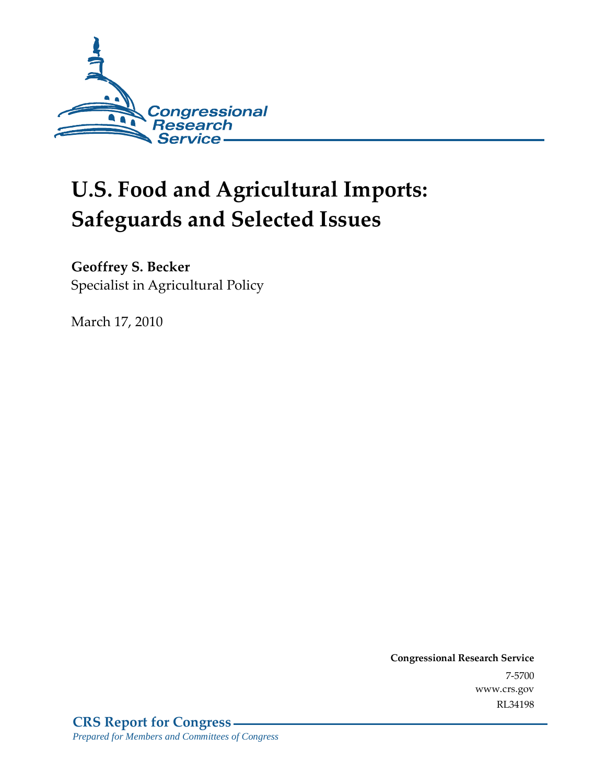

# **U.S. Food and Agricultural Imports: Safeguards and Selected Issues**

### **Geoffrey S. Becker**

Specialist in Agricultural Policy

March 17, 2010

**Congressional Research Service** 7-5700 www.crs.gov RL34198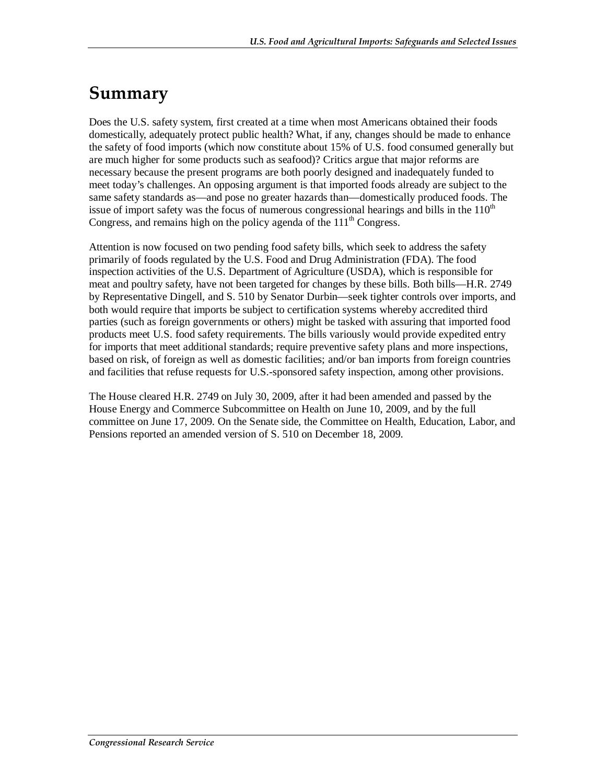# **Summary**

Does the U.S. safety system, first created at a time when most Americans obtained their foods domestically, adequately protect public health? What, if any, changes should be made to enhance the safety of food imports (which now constitute about 15% of U.S. food consumed generally but are much higher for some products such as seafood)? Critics argue that major reforms are necessary because the present programs are both poorly designed and inadequately funded to meet today's challenges. An opposing argument is that imported foods already are subject to the same safety standards as—and pose no greater hazards than—domestically produced foods. The issue of import safety was the focus of numerous congressional hearings and bills in the  $110<sup>th</sup>$ Congress, and remains high on the policy agenda of the 111<sup>th</sup> Congress.

Attention is now focused on two pending food safety bills, which seek to address the safety primarily of foods regulated by the U.S. Food and Drug Administration (FDA). The food inspection activities of the U.S. Department of Agriculture (USDA), which is responsible for meat and poultry safety, have not been targeted for changes by these bills. Both bills—H.R. 2749 by Representative Dingell, and S. 510 by Senator Durbin—seek tighter controls over imports, and both would require that imports be subject to certification systems whereby accredited third parties (such as foreign governments or others) might be tasked with assuring that imported food products meet U.S. food safety requirements. The bills variously would provide expedited entry for imports that meet additional standards; require preventive safety plans and more inspections, based on risk, of foreign as well as domestic facilities; and/or ban imports from foreign countries and facilities that refuse requests for U.S.-sponsored safety inspection, among other provisions.

The House cleared H.R. 2749 on July 30, 2009, after it had been amended and passed by the House Energy and Commerce Subcommittee on Health on June 10, 2009, and by the full committee on June 17, 2009. On the Senate side, the Committee on Health, Education, Labor, and Pensions reported an amended version of S. 510 on December 18, 2009.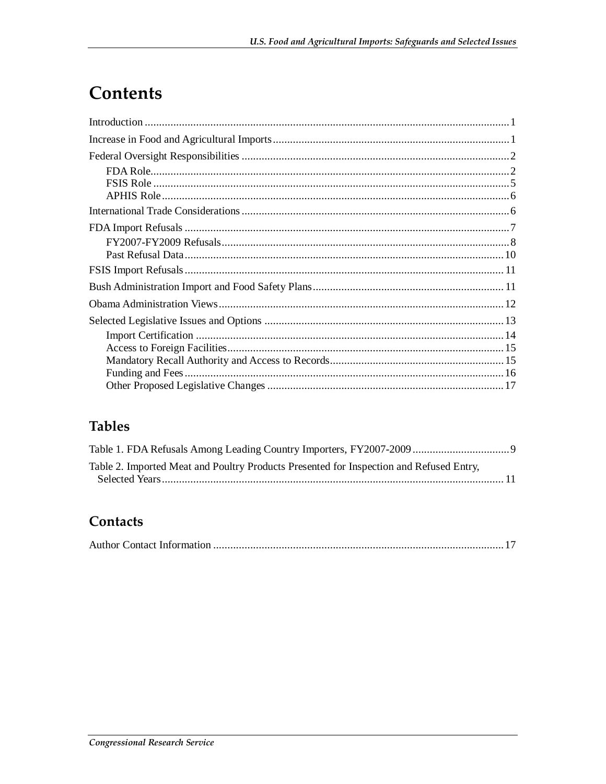# Contents

### **Tables**

| Table 2. Imported Meat and Poultry Products Presented for Inspection and Refused Entry, |  |
|-----------------------------------------------------------------------------------------|--|
|                                                                                         |  |

### Contacts

|--|--|--|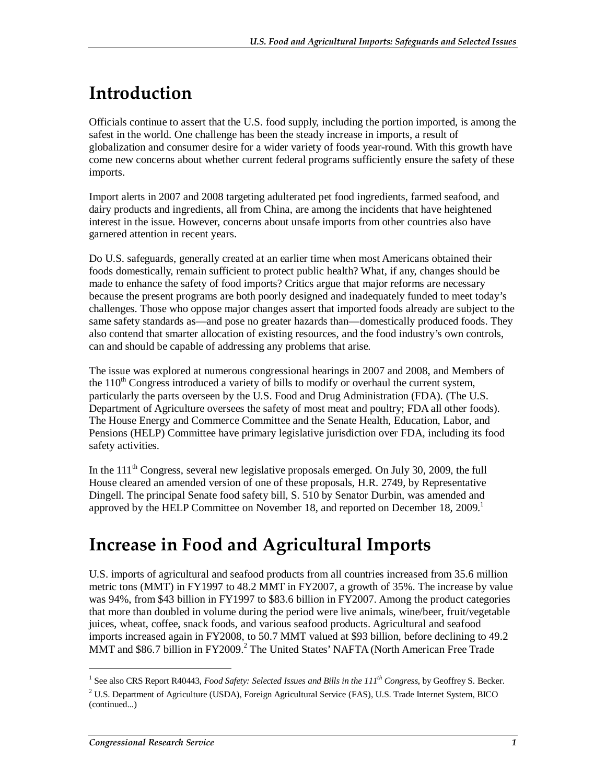# **Introduction**

Officials continue to assert that the U.S. food supply, including the portion imported, is among the safest in the world. One challenge has been the steady increase in imports, a result of globalization and consumer desire for a wider variety of foods year-round. With this growth have come new concerns about whether current federal programs sufficiently ensure the safety of these imports.

Import alerts in 2007 and 2008 targeting adulterated pet food ingredients, farmed seafood, and dairy products and ingredients, all from China, are among the incidents that have heightened interest in the issue. However, concerns about unsafe imports from other countries also have garnered attention in recent years.

Do U.S. safeguards, generally created at an earlier time when most Americans obtained their foods domestically, remain sufficient to protect public health? What, if any, changes should be made to enhance the safety of food imports? Critics argue that major reforms are necessary because the present programs are both poorly designed and inadequately funded to meet today's challenges. Those who oppose major changes assert that imported foods already are subject to the same safety standards as—and pose no greater hazards than—domestically produced foods. They also contend that smarter allocation of existing resources, and the food industry's own controls, can and should be capable of addressing any problems that arise.

The issue was explored at numerous congressional hearings in 2007 and 2008, and Members of the  $110<sup>th</sup>$  Congress introduced a variety of bills to modify or overhaul the current system, particularly the parts overseen by the U.S. Food and Drug Administration (FDA). (The U.S. Department of Agriculture oversees the safety of most meat and poultry; FDA all other foods). The House Energy and Commerce Committee and the Senate Health, Education, Labor, and Pensions (HELP) Committee have primary legislative jurisdiction over FDA, including its food safety activities.

In the  $111<sup>th</sup>$  Congress, several new legislative proposals emerged. On July 30, 2009, the full House cleared an amended version of one of these proposals, H.R. 2749, by Representative Dingell. The principal Senate food safety bill, S. 510 by Senator Durbin, was amended and approved by the HELP Committee on November 18, and reported on December 18,  $2009<sup>1</sup>$ 

# **Increase in Food and Agricultural Imports**

U.S. imports of agricultural and seafood products from all countries increased from 35.6 million metric tons (MMT) in FY1997 to 48.2 MMT in FY2007, a growth of 35%. The increase by value was 94%, from \$43 billion in FY1997 to \$83.6 billion in FY2007. Among the product categories that more than doubled in volume during the period were live animals, wine/beer, fruit/vegetable juices, wheat, coffee, snack foods, and various seafood products. Agricultural and seafood imports increased again in FY2008, to 50.7 MMT valued at \$93 billion, before declining to 49.2 MMT and \$86.7 billion in FY2009.<sup>2</sup> The United States' NAFTA (North American Free Trade

<sup>&</sup>lt;sup>1</sup> See also CRS Report R40443, *Food Safety: Selected Issues and Bills in the 111<sup>th</sup> Congress*, by Geoffrey S. Becker.

 $2$  U.S. Department of Agriculture (USDA), Foreign Agricultural Service (FAS), U.S. Trade Internet System, BICO (continued...)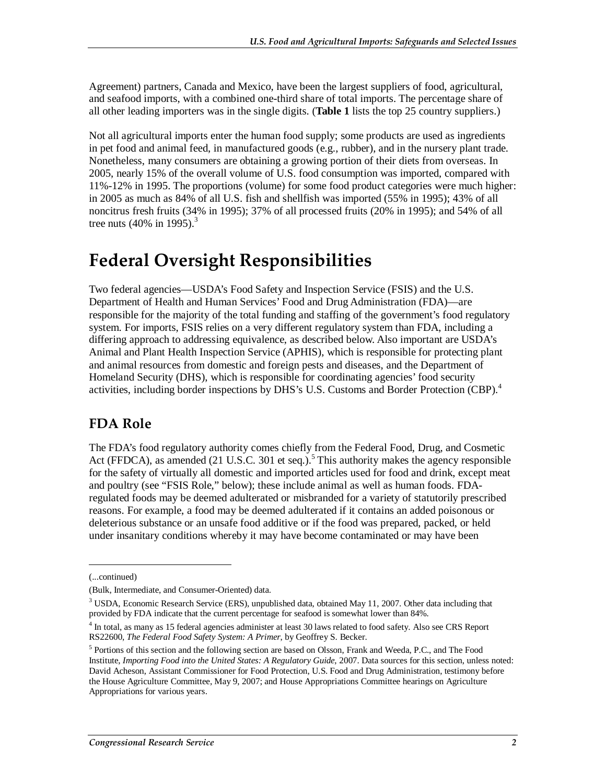Agreement) partners, Canada and Mexico, have been the largest suppliers of food, agricultural, and seafood imports, with a combined one-third share of total imports. The percentage share of all other leading importers was in the single digits. (**Table 1** lists the top 25 country suppliers.)

Not all agricultural imports enter the human food supply; some products are used as ingredients in pet food and animal feed, in manufactured goods (e.g., rubber), and in the nursery plant trade. Nonetheless, many consumers are obtaining a growing portion of their diets from overseas. In 2005, nearly 15% of the overall volume of U.S. food consumption was imported, compared with 11%-12% in 1995. The proportions (volume) for some food product categories were much higher: in 2005 as much as 84% of all U.S. fish and shellfish was imported (55% in 1995); 43% of all noncitrus fresh fruits (34% in 1995); 37% of all processed fruits (20% in 1995); and 54% of all tree nuts (40% in 1995).<sup>3</sup>

# **Federal Oversight Responsibilities**

Two federal agencies—USDA's Food Safety and Inspection Service (FSIS) and the U.S. Department of Health and Human Services' Food and Drug Administration (FDA)—are responsible for the majority of the total funding and staffing of the government's food regulatory system. For imports, FSIS relies on a very different regulatory system than FDA, including a differing approach to addressing equivalence, as described below. Also important are USDA's Animal and Plant Health Inspection Service (APHIS), which is responsible for protecting plant and animal resources from domestic and foreign pests and diseases, and the Department of Homeland Security (DHS), which is responsible for coordinating agencies' food security activities, including border inspections by DHS's U.S. Customs and Border Protection (CBP).<sup>4</sup>

### **FDA Role**

The FDA's food regulatory authority comes chiefly from the Federal Food, Drug, and Cosmetic Act (FFDCA), as amended  $(21 \text{ U.S.C. } 301 \text{ et seq.})$ .<sup>5</sup> This authority makes the agency responsible for the safety of virtually all domestic and imported articles used for food and drink, except meat and poultry (see "FSIS Role," below); these include animal as well as human foods. FDAregulated foods may be deemed adulterated or misbranded for a variety of statutorily prescribed reasons. For example, a food may be deemed adulterated if it contains an added poisonous or deleterious substance or an unsafe food additive or if the food was prepared, packed, or held under insanitary conditions whereby it may have become contaminated or may have been

<sup>(...</sup>continued)

<sup>(</sup>Bulk, Intermediate, and Consumer-Oriented) data.

<sup>&</sup>lt;sup>3</sup> USDA, Economic Research Service (ERS), unpublished data, obtained May 11, 2007. Other data including that provided by FDA indicate that the current percentage for seafood is somewhat lower than 84%.

<sup>&</sup>lt;sup>4</sup> In total, as many as 15 federal agencies administer at least 30 laws related to food safety. Also see CRS Report RS22600, *The Federal Food Safety System: A Primer*, by Geoffrey S. Becker.

<sup>&</sup>lt;sup>5</sup> Portions of this section and the following section are based on Olsson, Frank and Weeda, P.C., and The Food Institute, *Importing Food into the United States: A Regulatory Guide*, 2007. Data sources for this section, unless noted: David Acheson, Assistant Commissioner for Food Protection, U.S. Food and Drug Administration, testimony before the House Agriculture Committee, May 9, 2007; and House Appropriations Committee hearings on Agriculture Appropriations for various years.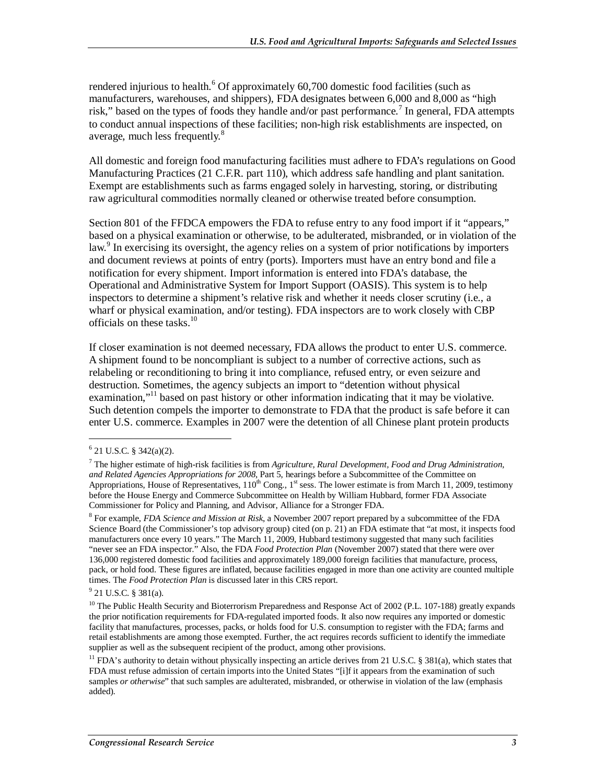rendered injurious to health.<sup>6</sup> Of approximately 60,700 domestic food facilities (such as manufacturers, warehouses, and shippers), FDA designates between 6,000 and 8,000 as "high risk," based on the types of foods they handle and/or past performance.<sup>7</sup> In general, FDA attempts to conduct annual inspections of these facilities; non-high risk establishments are inspected, on average, much less frequently.<sup>8</sup>

All domestic and foreign food manufacturing facilities must adhere to FDA's regulations on Good Manufacturing Practices (21 C.F.R. part 110), which address safe handling and plant sanitation. Exempt are establishments such as farms engaged solely in harvesting, storing, or distributing raw agricultural commodities normally cleaned or otherwise treated before consumption.

Section 801 of the FFDCA empowers the FDA to refuse entry to any food import if it "appears," based on a physical examination or otherwise, to be adulterated, misbranded, or in violation of the law.<sup>9</sup> In exercising its oversight, the agency relies on a system of prior notifications by importers and document reviews at points of entry (ports). Importers must have an entry bond and file a notification for every shipment. Import information is entered into FDA's database, the Operational and Administrative System for Import Support (OASIS). This system is to help inspectors to determine a shipment's relative risk and whether it needs closer scrutiny (i.e., a wharf or physical examination, and/or testing). FDA inspectors are to work closely with CBP officials on these tasks. $10$ 

If closer examination is not deemed necessary, FDA allows the product to enter U.S. commerce. A shipment found to be noncompliant is subject to a number of corrective actions, such as relabeling or reconditioning to bring it into compliance, refused entry, or even seizure and destruction. Sometimes, the agency subjects an import to "detention without physical examination,"<sup>11</sup> based on past history or other information indicating that it may be violative. Such detention compels the importer to demonstrate to FDA that the product is safe before it can enter U.S. commerce. Examples in 2007 were the detention of all Chinese plant protein products

1

8 For example, *FDA Science and Mission at Risk*, a November 2007 report prepared by a subcommittee of the FDA Science Board (the Commissioner's top advisory group) cited (on p. 21) an FDA estimate that "at most, it inspects food manufacturers once every 10 years." The March 11, 2009, Hubbard testimony suggested that many such facilities "never see an FDA inspector." Also, the FDA *Food Protection Plan* (November 2007) stated that there were over 136,000 registered domestic food facilities and approximately 189,000 foreign facilities that manufacture, process, pack, or hold food. These figures are inflated, because facilities engaged in more than one activity are counted multiple times. The *Food Protection Plan* is discussed later in this CRS report.

 $6$  21 U.S.C. § 342(a)(2).

<sup>7</sup> The higher estimate of high-risk facilities is from *Agriculture, Rural Development, Food and Drug Administration, and Related Agencies Appropriations for 2008*, Part 5, hearings before a Subcommittee of the Committee on Appropriations, House of Representatives,  $110^{th}$  Cong.,  $1^{st}$  sess. The lower estimate is from March 11, 2009, testimony before the House Energy and Commerce Subcommittee on Health by William Hubbard, former FDA Associate Commissioner for Policy and Planning, and Advisor, Alliance for a Stronger FDA.

 $9^9$  21 U.S.C. § 381(a).

<sup>&</sup>lt;sup>10</sup> The Public Health Security and Bioterrorism Preparedness and Response Act of 2002 (P.L. 107-188) greatly expands the prior notification requirements for FDA-regulated imported foods. It also now requires any imported or domestic facility that manufactures, processes, packs, or holds food for U.S. consumption to register with the FDA; farms and retail establishments are among those exempted. Further, the act requires records sufficient to identify the immediate supplier as well as the subsequent recipient of the product, among other provisions.

<sup>&</sup>lt;sup>11</sup> FDA's authority to detain without physically inspecting an article derives from 21 U.S.C. § 381(a), which states that FDA must refuse admission of certain imports into the United States "[i]f it appears from the examination of such samples *or otherwise*" that such samples are adulterated, misbranded, or otherwise in violation of the law (emphasis added).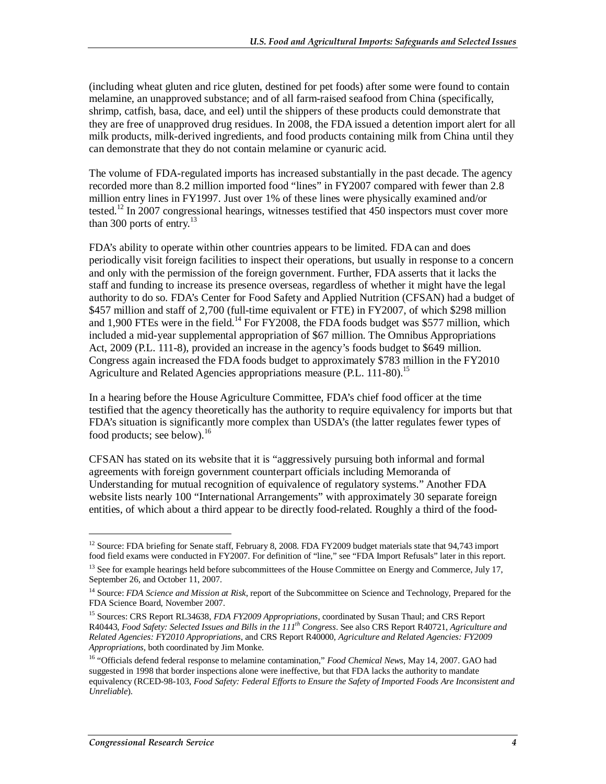(including wheat gluten and rice gluten, destined for pet foods) after some were found to contain melamine, an unapproved substance; and of all farm-raised seafood from China (specifically, shrimp, catfish, basa, dace, and eel) until the shippers of these products could demonstrate that they are free of unapproved drug residues. In 2008, the FDA issued a detention import alert for all milk products, milk-derived ingredients, and food products containing milk from China until they can demonstrate that they do not contain melamine or cyanuric acid.

The volume of FDA-regulated imports has increased substantially in the past decade. The agency recorded more than 8.2 million imported food "lines" in FY2007 compared with fewer than 2.8 million entry lines in FY1997. Just over 1% of these lines were physically examined and/or tested.<sup>12</sup> In 2007 congressional hearings, witnesses testified that 450 inspectors must cover more than 300 ports of entry.<sup>13</sup>

FDA's ability to operate within other countries appears to be limited. FDA can and does periodically visit foreign facilities to inspect their operations, but usually in response to a concern and only with the permission of the foreign government. Further, FDA asserts that it lacks the staff and funding to increase its presence overseas, regardless of whether it might have the legal authority to do so. FDA's Center for Food Safety and Applied Nutrition (CFSAN) had a budget of \$457 million and staff of 2,700 (full-time equivalent or FTE) in FY2007, of which \$298 million and 1,900 FTEs were in the field.<sup>14</sup> For FY2008, the FDA foods budget was \$577 million, which included a mid-year supplemental appropriation of \$67 million. The Omnibus Appropriations Act, 2009 (P.L. 111-8), provided an increase in the agency's foods budget to \$649 million. Congress again increased the FDA foods budget to approximately \$783 million in the FY2010 Agriculture and Related Agencies appropriations measure (P.L. 111-80).<sup>15</sup>

In a hearing before the House Agriculture Committee, FDA's chief food officer at the time testified that the agency theoretically has the authority to require equivalency for imports but that FDA's situation is significantly more complex than USDA's (the latter regulates fewer types of food products; see below). $^{16}$ 

CFSAN has stated on its website that it is "aggressively pursuing both informal and formal agreements with foreign government counterpart officials including Memoranda of Understanding for mutual recognition of equivalence of regulatory systems." Another FDA website lists nearly 100 "International Arrangements" with approximately 30 separate foreign entities, of which about a third appear to be directly food-related. Roughly a third of the food-

<sup>&</sup>lt;sup>12</sup> Source: FDA briefing for Senate staff, February 8, 2008. FDA FY2009 budget materials state that 94,743 import food field exams were conducted in FY2007. For definition of "line," see "FDA Import Refusals" later in this report.

<sup>&</sup>lt;sup>13</sup> See for example hearings held before subcommittees of the House Committee on Energy and Commerce, July 17, September 26, and October 11, 2007.

<sup>&</sup>lt;sup>14</sup> Source: *FDA Science and Mission at Risk*, report of the Subcommittee on Science and Technology, Prepared for the FDA Science Board, November 2007.

<sup>15</sup> Sources: CRS Report RL34638, *FDA FY2009 Appropriations*, coordinated by Susan Thaul; and CRS Report R40443, *Food Safety: Selected Issues and Bills in the 111th Congress*. See also CRS Report R40721, *Agriculture and Related Agencies: FY2010 Appropriations*, and CRS Report R40000, *Agriculture and Related Agencies: FY2009 Appropriations*, both coordinated by Jim Monke.

<sup>16 &</sup>quot;Officials defend federal response to melamine contamination," *Food Chemical News*, May 14, 2007. GAO had suggested in 1998 that border inspections alone were ineffective, but that FDA lacks the authority to mandate equivalency (RCED-98-103, *Food Safety: Federal Efforts to Ensure the Safety of Imported Foods Are Inconsistent and Unreliable*).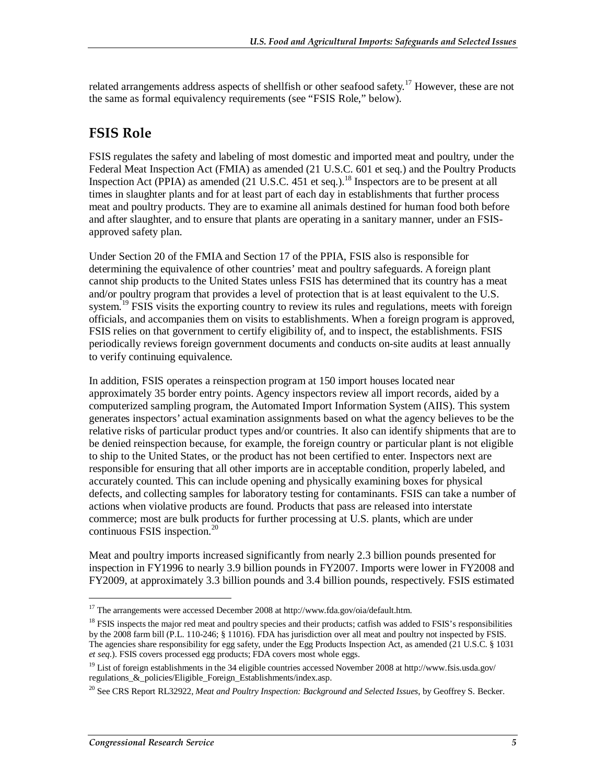related arrangements address aspects of shellfish or other seafood safety.<sup>17</sup> However, these are not the same as formal equivalency requirements (see "FSIS Role," below).

#### **FSIS Role**

FSIS regulates the safety and labeling of most domestic and imported meat and poultry, under the Federal Meat Inspection Act (FMIA) as amended (21 U.S.C. 601 et seq.) and the Poultry Products Inspection Act (PPIA) as amended  $(21 \text{ U.S.C. } 451 \text{ et seq.})$ .<sup>18</sup> Inspectors are to be present at all times in slaughter plants and for at least part of each day in establishments that further process meat and poultry products. They are to examine all animals destined for human food both before and after slaughter, and to ensure that plants are operating in a sanitary manner, under an FSISapproved safety plan.

Under Section 20 of the FMIA and Section 17 of the PPIA, FSIS also is responsible for determining the equivalence of other countries' meat and poultry safeguards. A foreign plant cannot ship products to the United States unless FSIS has determined that its country has a meat and/or poultry program that provides a level of protection that is at least equivalent to the U.S. system.<sup>19</sup> FSIS visits the exporting country to review its rules and regulations, meets with foreign officials, and accompanies them on visits to establishments. When a foreign program is approved, FSIS relies on that government to certify eligibility of, and to inspect, the establishments. FSIS periodically reviews foreign government documents and conducts on-site audits at least annually to verify continuing equivalence.

In addition, FSIS operates a reinspection program at 150 import houses located near approximately 35 border entry points. Agency inspectors review all import records, aided by a computerized sampling program, the Automated Import Information System (AIIS). This system generates inspectors' actual examination assignments based on what the agency believes to be the relative risks of particular product types and/or countries. It also can identify shipments that are to be denied reinspection because, for example, the foreign country or particular plant is not eligible to ship to the United States, or the product has not been certified to enter. Inspectors next are responsible for ensuring that all other imports are in acceptable condition, properly labeled, and accurately counted. This can include opening and physically examining boxes for physical defects, and collecting samples for laboratory testing for contaminants. FSIS can take a number of actions when violative products are found. Products that pass are released into interstate commerce; most are bulk products for further processing at U.S. plants, which are under continuous FSIS inspection. $^{20}$ 

Meat and poultry imports increased significantly from nearly 2.3 billion pounds presented for inspection in FY1996 to nearly 3.9 billion pounds in FY2007. Imports were lower in FY2008 and FY2009, at approximately 3.3 billion pounds and 3.4 billion pounds, respectively. FSIS estimated

<sup>&</sup>lt;sup>17</sup> The arrangements were accessed December 2008 at http://www.fda.gov/oia/default.htm.

<sup>&</sup>lt;sup>18</sup> FSIS inspects the major red meat and poultry species and their products; catfish was added to FSIS's responsibilities by the 2008 farm bill (P.L. 110-246; § 11016). FDA has jurisdiction over all meat and poultry not inspected by FSIS. The agencies share responsibility for egg safety, under the Egg Products Inspection Act, as amended (21 U.S.C. § 1031 *et seq*.). FSIS covers processed egg products; FDA covers most whole eggs.

 $19$  List of foreign establishments in the 34 eligible countries accessed November 2008 at http://www.fsis.usda.gov/ regulations\_&\_policies/Eligible\_Foreign\_Establishments/index.asp.

<sup>20</sup> See CRS Report RL32922, *Meat and Poultry Inspection: Background and Selected Issues*, by Geoffrey S. Becker.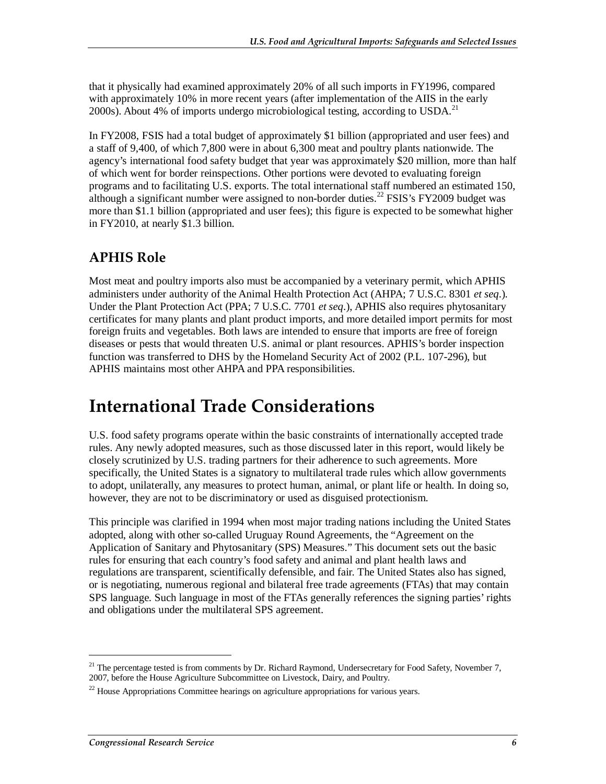that it physically had examined approximately 20% of all such imports in FY1996, compared with approximately 10% in more recent years (after implementation of the AIIS in the early 2000s). About 4% of imports undergo microbiological testing, according to USDA.<sup>21</sup>

In FY2008, FSIS had a total budget of approximately \$1 billion (appropriated and user fees) and a staff of 9,400, of which 7,800 were in about 6,300 meat and poultry plants nationwide. The agency's international food safety budget that year was approximately \$20 million, more than half of which went for border reinspections. Other portions were devoted to evaluating foreign programs and to facilitating U.S. exports. The total international staff numbered an estimated 150, although a significant number were assigned to non-border duties.<sup>22</sup> FSIS's FY2009 budget was more than \$1.1 billion (appropriated and user fees); this figure is expected to be somewhat higher in FY2010, at nearly \$1.3 billion.

### **APHIS Role**

Most meat and poultry imports also must be accompanied by a veterinary permit, which APHIS administers under authority of the Animal Health Protection Act (AHPA; 7 U.S.C. 8301 *et seq*.). Under the Plant Protection Act (PPA; 7 U.S.C. 7701 *et seq*.), APHIS also requires phytosanitary certificates for many plants and plant product imports, and more detailed import permits for most foreign fruits and vegetables. Both laws are intended to ensure that imports are free of foreign diseases or pests that would threaten U.S. animal or plant resources. APHIS's border inspection function was transferred to DHS by the Homeland Security Act of 2002 (P.L. 107-296), but APHIS maintains most other AHPA and PPA responsibilities.

# **International Trade Considerations**

U.S. food safety programs operate within the basic constraints of internationally accepted trade rules. Any newly adopted measures, such as those discussed later in this report, would likely be closely scrutinized by U.S. trading partners for their adherence to such agreements. More specifically, the United States is a signatory to multilateral trade rules which allow governments to adopt, unilaterally, any measures to protect human, animal, or plant life or health. In doing so, however, they are not to be discriminatory or used as disguised protectionism.

This principle was clarified in 1994 when most major trading nations including the United States adopted, along with other so-called Uruguay Round Agreements, the "Agreement on the Application of Sanitary and Phytosanitary (SPS) Measures." This document sets out the basic rules for ensuring that each country's food safety and animal and plant health laws and regulations are transparent, scientifically defensible, and fair. The United States also has signed, or is negotiating, numerous regional and bilateral free trade agreements (FTAs) that may contain SPS language. Such language in most of the FTAs generally references the signing parties' rights and obligations under the multilateral SPS agreement.

<sup>&</sup>lt;sup>21</sup> The percentage tested is from comments by Dr. Richard Raymond, Undersecretary for Food Safety, November 7, 2007, before the House Agriculture Subcommittee on Livestock, Dairy, and Poultry.

 $^{22}$  House Appropriations Committee hearings on agriculture appropriations for various years.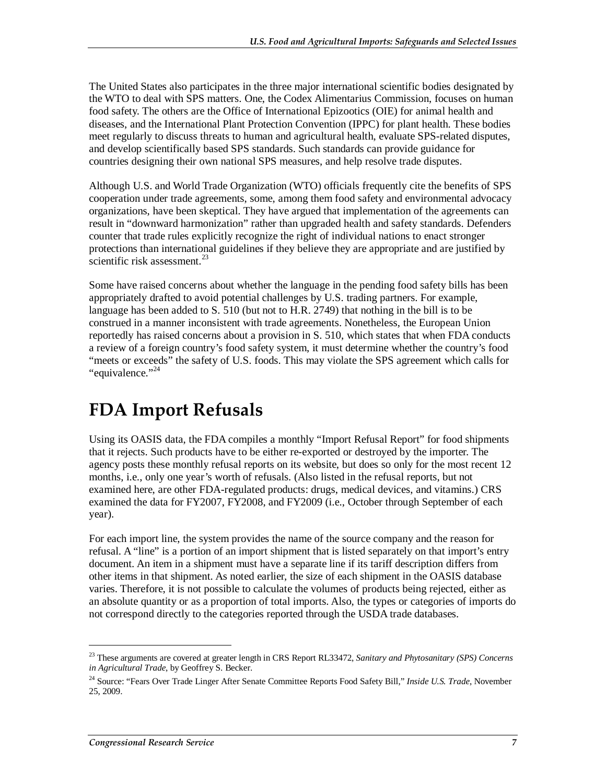The United States also participates in the three major international scientific bodies designated by the WTO to deal with SPS matters. One, the Codex Alimentarius Commission, focuses on human food safety. The others are the Office of International Epizootics (OIE) for animal health and diseases, and the International Plant Protection Convention (IPPC) for plant health. These bodies meet regularly to discuss threats to human and agricultural health, evaluate SPS-related disputes, and develop scientifically based SPS standards. Such standards can provide guidance for countries designing their own national SPS measures, and help resolve trade disputes.

Although U.S. and World Trade Organization (WTO) officials frequently cite the benefits of SPS cooperation under trade agreements, some, among them food safety and environmental advocacy organizations, have been skeptical. They have argued that implementation of the agreements can result in "downward harmonization" rather than upgraded health and safety standards. Defenders counter that trade rules explicitly recognize the right of individual nations to enact stronger protections than international guidelines if they believe they are appropriate and are justified by scientific risk assessment.<sup>23</sup>

Some have raised concerns about whether the language in the pending food safety bills has been appropriately drafted to avoid potential challenges by U.S. trading partners. For example, language has been added to S. 510 (but not to H.R. 2749) that nothing in the bill is to be construed in a manner inconsistent with trade agreements. Nonetheless, the European Union reportedly has raised concerns about a provision in S. 510, which states that when FDA conducts a review of a foreign country's food safety system, it must determine whether the country's food "meets or exceeds" the safety of U.S. foods. This may violate the SPS agreement which calls for "equivalence."<sup>24</sup>

### **FDA Import Refusals**

Using its OASIS data, the FDA compiles a monthly "Import Refusal Report" for food shipments that it rejects. Such products have to be either re-exported or destroyed by the importer. The agency posts these monthly refusal reports on its website, but does so only for the most recent 12 months, i.e., only one year's worth of refusals. (Also listed in the refusal reports, but not examined here, are other FDA-regulated products: drugs, medical devices, and vitamins.) CRS examined the data for FY2007, FY2008, and FY2009 (i.e., October through September of each year).

For each import line, the system provides the name of the source company and the reason for refusal. A "line" is a portion of an import shipment that is listed separately on that import's entry document. An item in a shipment must have a separate line if its tariff description differs from other items in that shipment. As noted earlier, the size of each shipment in the OASIS database varies. Therefore, it is not possible to calculate the volumes of products being rejected, either as an absolute quantity or as a proportion of total imports. Also, the types or categories of imports do not correspond directly to the categories reported through the USDA trade databases.

<sup>23</sup> These arguments are covered at greater length in CRS Report RL33472, *Sanitary and Phytosanitary (SPS) Concerns in Agricultural Trade*, by Geoffrey S. Becker.

<sup>24</sup> Source: "Fears Over Trade Linger After Senate Committee Reports Food Safety Bill," *Inside U.S. Trade*, November 25, 2009.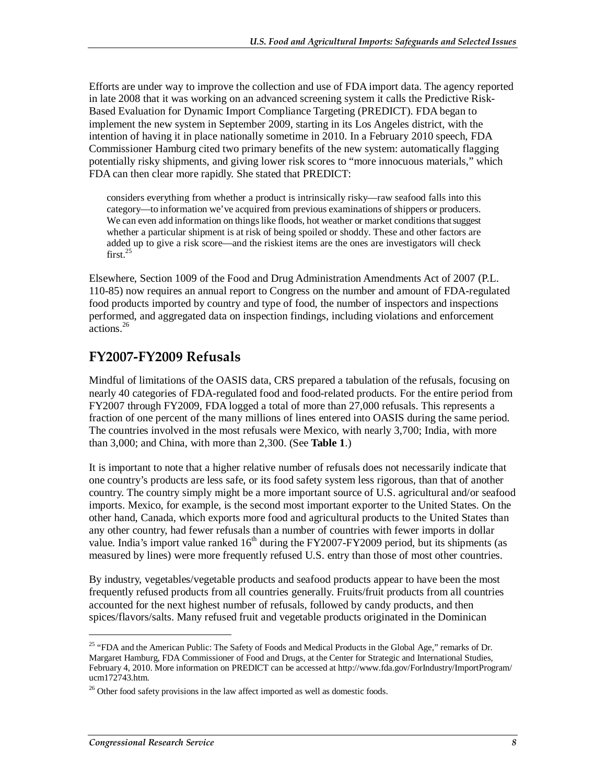Efforts are under way to improve the collection and use of FDA import data. The agency reported in late 2008 that it was working on an advanced screening system it calls the Predictive Risk-Based Evaluation for Dynamic Import Compliance Targeting (PREDICT). FDA began to implement the new system in September 2009, starting in its Los Angeles district, with the intention of having it in place nationally sometime in 2010. In a February 2010 speech, FDA Commissioner Hamburg cited two primary benefits of the new system: automatically flagging potentially risky shipments, and giving lower risk scores to "more innocuous materials," which FDA can then clear more rapidly. She stated that PREDICT:

considers everything from whether a product is intrinsically risky—raw seafood falls into this category—to information we've acquired from previous examinations of shippers or producers. We can even add information on things like floods, hot weather or market conditions that suggest whether a particular shipment is at risk of being spoiled or shoddy. These and other factors are added up to give a risk score—and the riskiest items are the ones are investigators will check  $first.<sup>25</sup>$ 

Elsewhere, Section 1009 of the Food and Drug Administration Amendments Act of 2007 (P.L. 110-85) now requires an annual report to Congress on the number and amount of FDA-regulated food products imported by country and type of food, the number of inspectors and inspections performed, and aggregated data on inspection findings, including violations and enforcement actions.<sup>26</sup>

#### **FY2007-FY2009 Refusals**

Mindful of limitations of the OASIS data, CRS prepared a tabulation of the refusals, focusing on nearly 40 categories of FDA-regulated food and food-related products. For the entire period from FY2007 through FY2009, FDA logged a total of more than 27,000 refusals. This represents a fraction of one percent of the many millions of lines entered into OASIS during the same period. The countries involved in the most refusals were Mexico, with nearly 3,700; India, with more than 3,000; and China, with more than 2,300. (See **Table 1**.)

It is important to note that a higher relative number of refusals does not necessarily indicate that one country's products are less safe, or its food safety system less rigorous, than that of another country. The country simply might be a more important source of U.S. agricultural and/or seafood imports. Mexico, for example, is the second most important exporter to the United States. On the other hand, Canada, which exports more food and agricultural products to the United States than any other country, had fewer refusals than a number of countries with fewer imports in dollar value. India's import value ranked  $16<sup>th</sup>$  during the FY2007-FY2009 period, but its shipments (as measured by lines) were more frequently refused U.S. entry than those of most other countries.

By industry, vegetables/vegetable products and seafood products appear to have been the most frequently refused products from all countries generally. Fruits/fruit products from all countries accounted for the next highest number of refusals, followed by candy products, and then spices/flavors/salts. Many refused fruit and vegetable products originated in the Dominican

<sup>&</sup>lt;sup>25</sup> "FDA and the American Public: The Safety of Foods and Medical Products in the Global Age," remarks of Dr. Margaret Hamburg, FDA Commissioner of Food and Drugs, at the Center for Strategic and International Studies, February 4, 2010. More information on PREDICT can be accessed at http://www.fda.gov/ForIndustry/ImportProgram/ ucm172743.htm.

 $26$  Other food safety provisions in the law affect imported as well as domestic foods.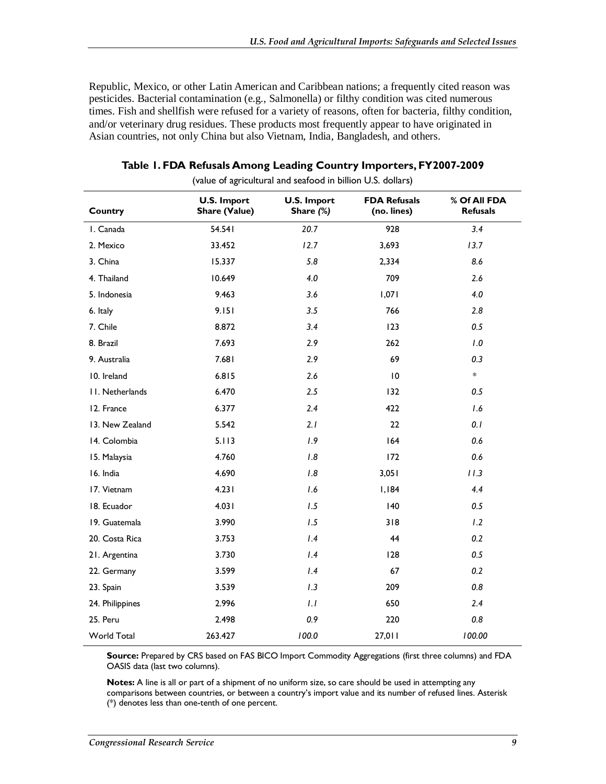Republic, Mexico, or other Latin American and Caribbean nations; a frequently cited reason was pesticides. Bacterial contamination (e.g., Salmonella) or filthy condition was cited numerous times. Fish and shellfish were refused for a variety of reasons, often for bacteria, filthy condition, and/or veterinary drug residues. These products most frequently appear to have originated in Asian countries, not only China but also Vietnam, India, Bangladesh, and others.

| Country         | <b>U.S. Import</b><br><b>Share (Value)</b> | <b>U.S. Import</b><br>Share (%) | <b>FDA Refusals</b><br>(no. lines) | % Of All FDA<br><b>Refusals</b> |
|-----------------|--------------------------------------------|---------------------------------|------------------------------------|---------------------------------|
| I. Canada       | 54.541                                     | 20.7                            | 928                                | 3.4                             |
| 2. Mexico       | 33.452                                     | 12.7                            | 3,693                              | 13.7                            |
| 3. China        | 15.337                                     | 5.8                             | 2,334                              | 8.6                             |
| 4. Thailand     | 10.649                                     | 4.0                             | 709                                | 2.6                             |
| 5. Indonesia    | 9.463                                      | 3.6                             | 1,071                              | 4.0                             |
| 6. Italy        | 9.151                                      | 3.5                             | 766                                | 2.8                             |
| 7. Chile        | 8.872                                      | 3.4                             | 123                                | 0.5                             |
| 8. Brazil       | 7.693                                      | 2.9                             | 262                                | 1.0                             |
| 9. Australia    | 7.681                                      | 2.9                             | 69                                 | 0.3                             |
| 10. Ireland     | 6.815                                      | 2.6                             | 10                                 | $\ast$                          |
| II. Netherlands | 6.470                                      | 2.5                             | 132                                | 0.5                             |
| 12. France      | 6.377                                      | 2.4                             | 422                                | 1.6                             |
| 13. New Zealand | 5.542                                      | 2.1                             | 22                                 | 0.1                             |
| 14. Colombia    | 5.113                                      | 1.9                             | 164                                | 0.6                             |
| 15. Malaysia    | 4.760                                      | 1.8                             | 172                                | 0.6                             |
| 16. India       | 4.690                                      | 1.8                             | 3,051                              | 11.3                            |
| 17. Vietnam     | 4.231                                      | 1.6                             | I, I84                             | 4.4                             |
| 18. Ecuador     | 4.031                                      | 1.5                             | 140                                | 0.5                             |
| 19. Guatemala   | 3.990                                      | 1.5                             | 318                                | 1.2                             |
| 20. Costa Rica  | 3.753                                      | 1.4                             | 44                                 | 0.2                             |
| 21. Argentina   | 3.730                                      | 1.4                             | 128                                | 0.5                             |
| 22. Germany     | 3.599                                      | 1.4                             | 67                                 | 0.2                             |
| 23. Spain       | 3.539                                      | 1.3                             | 209                                | 0.8                             |
| 24. Philippines | 2.996                                      | 1.1                             | 650                                | 2.4                             |
| 25. Peru        | 2.498                                      | 0.9                             | 220                                | 0.8                             |
| World Total     | 263.427                                    | 100.0                           | 27,011                             | 100.00                          |

| Table 1. FDA Refusals Among Leading Country Importers, FY2007-2009 |  |  |  |
|--------------------------------------------------------------------|--|--|--|
|--------------------------------------------------------------------|--|--|--|

(value of agricultural and seafood in billion U.S. dollars)

**Source:** Prepared by CRS based on FAS BICO Import Commodity Aggregations (first three columns) and FDA OASIS data (last two columns).

**Notes:** A line is all or part of a shipment of no uniform size, so care should be used in attempting any comparisons between countries, or between a country's import value and its number of refused lines. Asterisk (\*) denotes less than one-tenth of one percent.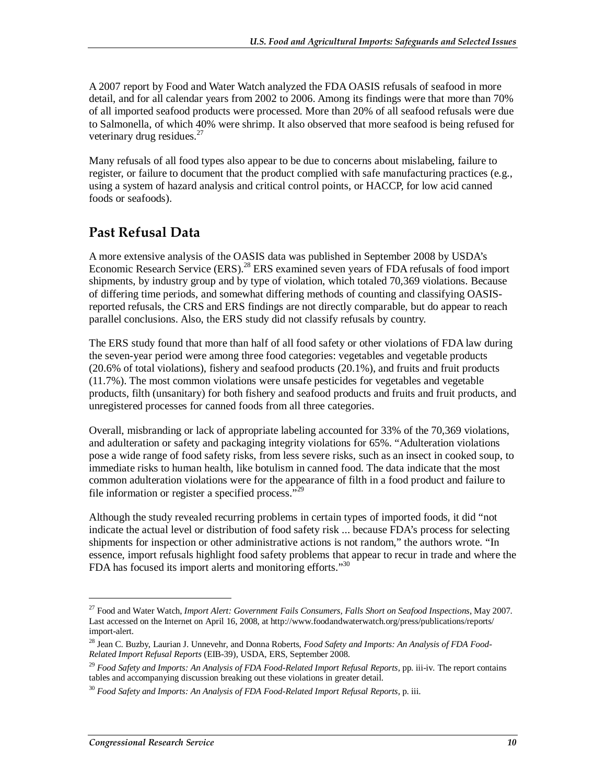A 2007 report by Food and Water Watch analyzed the FDA OASIS refusals of seafood in more detail, and for all calendar years from 2002 to 2006. Among its findings were that more than 70% of all imported seafood products were processed. More than 20% of all seafood refusals were due to Salmonella, of which 40% were shrimp. It also observed that more seafood is being refused for veterinary drug residues.<sup>27</sup>

Many refusals of all food types also appear to be due to concerns about mislabeling, failure to register, or failure to document that the product complied with safe manufacturing practices (e.g., using a system of hazard analysis and critical control points, or HACCP, for low acid canned foods or seafoods).

#### **Past Refusal Data**

A more extensive analysis of the OASIS data was published in September 2008 by USDA's Economic Research Service (ERS).<sup>28</sup> ERS examined seven years of FDA refusals of food import shipments, by industry group and by type of violation, which totaled 70,369 violations. Because of differing time periods, and somewhat differing methods of counting and classifying OASISreported refusals, the CRS and ERS findings are not directly comparable, but do appear to reach parallel conclusions. Also, the ERS study did not classify refusals by country.

The ERS study found that more than half of all food safety or other violations of FDA law during the seven-year period were among three food categories: vegetables and vegetable products (20.6% of total violations), fishery and seafood products (20.1%), and fruits and fruit products (11.7%). The most common violations were unsafe pesticides for vegetables and vegetable products, filth (unsanitary) for both fishery and seafood products and fruits and fruit products, and unregistered processes for canned foods from all three categories.

Overall, misbranding or lack of appropriate labeling accounted for 33% of the 70,369 violations, and adulteration or safety and packaging integrity violations for 65%. "Adulteration violations pose a wide range of food safety risks, from less severe risks, such as an insect in cooked soup, to immediate risks to human health, like botulism in canned food. The data indicate that the most common adulteration violations were for the appearance of filth in a food product and failure to file information or register a specified process."<sup>29</sup>

Although the study revealed recurring problems in certain types of imported foods, it did "not indicate the actual level or distribution of food safety risk ... because FDA's process for selecting shipments for inspection or other administrative actions is not random," the authors wrote. "In essence, import refusals highlight food safety problems that appear to recur in trade and where the FDA has focused its import alerts and monitoring efforts. $\cdot^{30}$ 

<sup>27</sup> Food and Water Watch, *Import Alert: Government Fails Consumers, Falls Short on Seafood Inspections*, May 2007. Last accessed on the Internet on April 16, 2008, at http://www.foodandwaterwatch.org/press/publications/reports/ import-alert.

<sup>28</sup> Jean C. Buzby, Laurian J. Unnevehr, and Donna Roberts, *Food Safety and Imports: An Analysis of FDA Food-Related Import Refusal Reports* (EIB-39), USDA, ERS, September 2008.

<sup>29</sup> *Food Safety and Imports: An Analysis of FDA Food-Related Import Refusal Reports,* pp. iii-iv*.* The report contains tables and accompanying discussion breaking out these violations in greater detail.

<sup>30</sup> *Food Safety and Imports: An Analysis of FDA Food-Related Import Refusal Reports,* p. iii.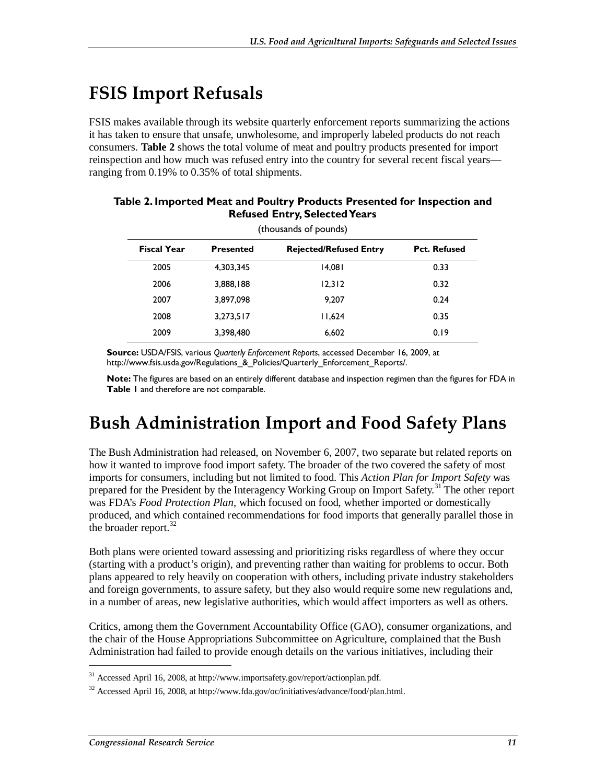# **FSIS Import Refusals**

FSIS makes available through its website quarterly enforcement reports summarizing the actions it has taken to ensure that unsafe, unwholesome, and improperly labeled products do not reach consumers. **Table 2** shows the total volume of meat and poultry products presented for import reinspection and how much was refused entry into the country for several recent fiscal years ranging from 0.19% to 0.35% of total shipments.

| (thousands of pounds) |                  |                               |                     |  |
|-----------------------|------------------|-------------------------------|---------------------|--|
| <b>Fiscal Year</b>    | <b>Presented</b> | <b>Rejected/Refused Entry</b> | <b>Pct. Refused</b> |  |
| 2005                  | 4,303,345        | 14,081                        | 0.33                |  |
| 2006                  | 3,888,188        | 12,312                        | 0.32                |  |
| 2007                  | 3,897,098        | 9.207                         | 0.24                |  |
| 2008                  | 3,273,517        | 11,624                        | 0.35                |  |
| 2009                  | 3,398,480        | 6,602                         | 0.19                |  |

#### **Table 2. Imported Meat and Poultry Products Presented for Inspection and Refused Entry, Selected Years**

**Source:** USDA/FSIS, various *Quarterly Enforcement Reports*, accessed December 16, 2009, at http://www.fsis.usda.gov/Regulations\_&\_Policies/Quarterly\_Enforcement\_Reports/.

**Note:** The figures are based on an entirely different database and inspection regimen than the figures for FDA in **Table 1** and therefore are not comparable.

# **Bush Administration Import and Food Safety Plans**

The Bush Administration had released, on November 6, 2007, two separate but related reports on how it wanted to improve food import safety. The broader of the two covered the safety of most imports for consumers, including but not limited to food. This *Action Plan for Import Safety* was prepared for the President by the Interagency Working Group on Import Safety.<sup>31</sup> The other report was FDA's *Food Protection Plan,* which focused on food, whether imported or domestically produced, and which contained recommendations for food imports that generally parallel those in the broader report. $32$ 

Both plans were oriented toward assessing and prioritizing risks regardless of where they occur (starting with a product's origin), and preventing rather than waiting for problems to occur. Both plans appeared to rely heavily on cooperation with others, including private industry stakeholders and foreign governments, to assure safety, but they also would require some new regulations and, in a number of areas, new legislative authorities, which would affect importers as well as others.

Critics, among them the Government Accountability Office (GAO), consumer organizations, and the chair of the House Appropriations Subcommittee on Agriculture, complained that the Bush Administration had failed to provide enough details on the various initiatives, including their

 $31$  Accessed April 16, 2008, at http://www.importsafety.gov/report/actionplan.pdf.

 $32$  Accessed April 16, 2008, at http://www.fda.gov/oc/initiatives/advance/food/plan.html.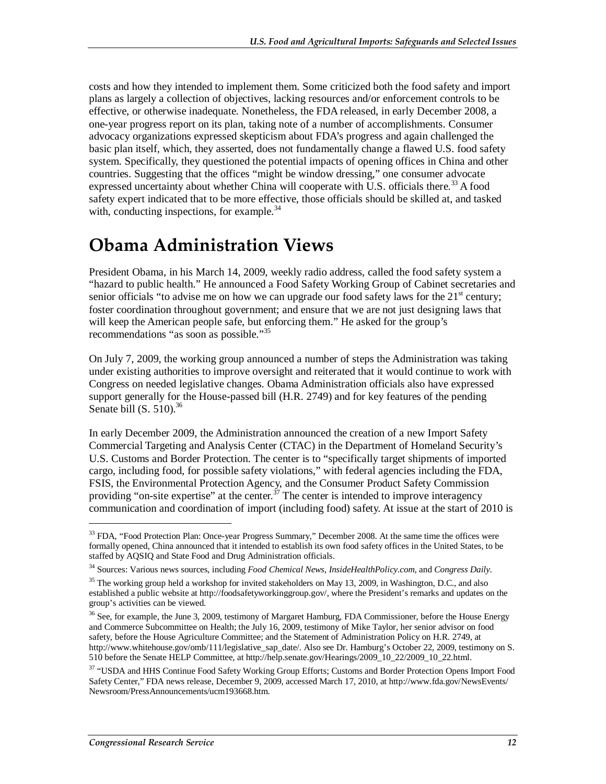costs and how they intended to implement them. Some criticized both the food safety and import plans as largely a collection of objectives, lacking resources and/or enforcement controls to be effective, or otherwise inadequate. Nonetheless, the FDA released, in early December 2008, a one-year progress report on its plan, taking note of a number of accomplishments. Consumer advocacy organizations expressed skepticism about FDA's progress and again challenged the basic plan itself, which, they asserted, does not fundamentally change a flawed U.S. food safety system. Specifically, they questioned the potential impacts of opening offices in China and other countries. Suggesting that the offices "might be window dressing," one consumer advocate expressed uncertainty about whether China will cooperate with U.S. officials there.<sup>33</sup> A food safety expert indicated that to be more effective, those officials should be skilled at, and tasked with, conducting inspections, for example. $34$ 

# **Obama Administration Views**

President Obama, in his March 14, 2009, weekly radio address, called the food safety system a "hazard to public health." He announced a Food Safety Working Group of Cabinet secretaries and senior officials "to advise me on how we can upgrade our food safety laws for the  $21<sup>st</sup>$  century; foster coordination throughout government; and ensure that we are not just designing laws that will keep the American people safe, but enforcing them." He asked for the group's recommendations "as soon as possible."<sup>35</sup>

On July 7, 2009, the working group announced a number of steps the Administration was taking under existing authorities to improve oversight and reiterated that it would continue to work with Congress on needed legislative changes. Obama Administration officials also have expressed support generally for the House-passed bill (H.R. 2749) and for key features of the pending Senate bill  $(S. 510)^{36}$ 

In early December 2009, the Administration announced the creation of a new Import Safety Commercial Targeting and Analysis Center (CTAC) in the Department of Homeland Security's U.S. Customs and Border Protection. The center is to "specifically target shipments of imported cargo, including food, for possible safety violations," with federal agencies including the FDA, FSIS, the Environmental Protection Agency, and the Consumer Product Safety Commission providing "on-site expertise" at the center. $3^7$  The center is intended to improve interagency communication and coordination of import (including food) safety. At issue at the start of 2010 is

<sup>&</sup>lt;sup>33</sup> FDA, "Food Protection Plan: Once-year Progress Summary," December 2008. At the same time the offices were formally opened, China announced that it intended to establish its own food safety offices in the United States, to be staffed by AQSIQ and State Food and Drug Administration officials.

<sup>34</sup> Sources: Various news sources, including *Food Chemical News*, *InsideHealthPolicy.com*, and *Congress Daily*.

<sup>&</sup>lt;sup>35</sup> The working group held a workshop for invited stakeholders on May 13, 2009, in Washington, D.C., and also established a public website at http://foodsafetyworkinggroup.gov/, where the President's remarks and updates on the group's activities can be viewed.

<sup>&</sup>lt;sup>36</sup> See, for example, the June 3, 2009, testimony of Margaret Hamburg, FDA Commissioner, before the House Energy and Commerce Subcommittee on Health; the July 16, 2009, testimony of Mike Taylor, her senior advisor on food safety, before the House Agriculture Committee; and the Statement of Administration Policy on H.R. 2749, at http://www.whitehouse.gov/omb/111/legislative\_sap\_date/. Also see Dr. Hamburg's October 22, 2009, testimony on S. 510 before the Senate HELP Committee, at http://help.senate.gov/Hearings/2009\_10\_22/2009\_10\_22.html.

<sup>&</sup>lt;sup>37</sup> "USDA and HHS Continue Food Safety Working Group Efforts; Customs and Border Protection Opens Import Food Safety Center," FDA news release, December 9, 2009, accessed March 17, 2010, at http://www.fda.gov/NewsEvents/ Newsroom/PressAnnouncements/ucm193668.htm.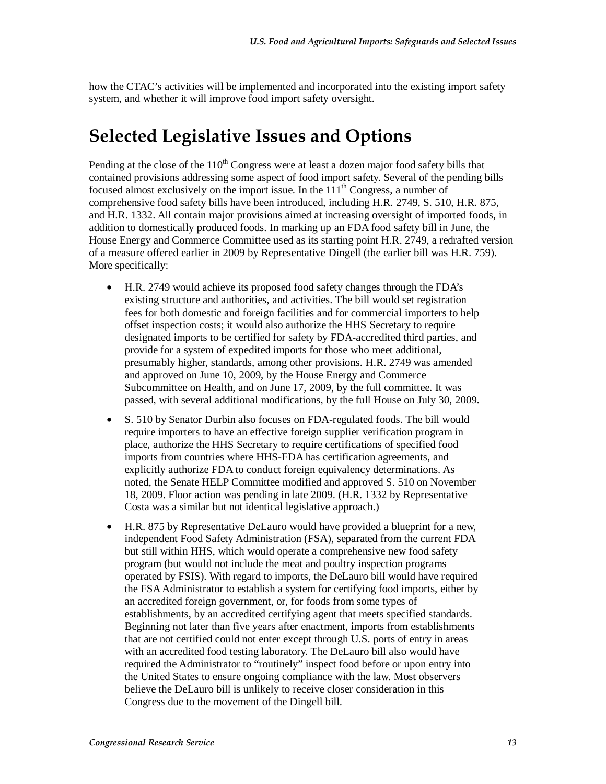how the CTAC's activities will be implemented and incorporated into the existing import safety system, and whether it will improve food import safety oversight.

# **Selected Legislative Issues and Options**

Pending at the close of the  $110<sup>th</sup>$  Congress were at least a dozen major food safety bills that contained provisions addressing some aspect of food import safety. Several of the pending bills focused almost exclusively on the import issue. In the  $111<sup>th</sup>$  Congress, a number of comprehensive food safety bills have been introduced, including H.R. 2749, S. 510, H.R. 875, and H.R. 1332. All contain major provisions aimed at increasing oversight of imported foods, in addition to domestically produced foods. In marking up an FDA food safety bill in June, the House Energy and Commerce Committee used as its starting point H.R. 2749, a redrafted version of a measure offered earlier in 2009 by Representative Dingell (the earlier bill was H.R. 759). More specifically:

- H.R. 2749 would achieve its proposed food safety changes through the FDA's existing structure and authorities, and activities. The bill would set registration fees for both domestic and foreign facilities and for commercial importers to help offset inspection costs; it would also authorize the HHS Secretary to require designated imports to be certified for safety by FDA-accredited third parties, and provide for a system of expedited imports for those who meet additional, presumably higher, standards, among other provisions. H.R. 2749 was amended and approved on June 10, 2009, by the House Energy and Commerce Subcommittee on Health, and on June 17, 2009, by the full committee. It was passed, with several additional modifications, by the full House on July 30, 2009.
- S. 510 by Senator Durbin also focuses on FDA-regulated foods. The bill would require importers to have an effective foreign supplier verification program in place, authorize the HHS Secretary to require certifications of specified food imports from countries where HHS-FDA has certification agreements, and explicitly authorize FDA to conduct foreign equivalency determinations. As noted, the Senate HELP Committee modified and approved S. 510 on November 18, 2009. Floor action was pending in late 2009. (H.R. 1332 by Representative Costa was a similar but not identical legislative approach.)
- H.R. 875 by Representative DeLauro would have provided a blueprint for a new, independent Food Safety Administration (FSA), separated from the current FDA but still within HHS, which would operate a comprehensive new food safety program (but would not include the meat and poultry inspection programs operated by FSIS). With regard to imports, the DeLauro bill would have required the FSA Administrator to establish a system for certifying food imports, either by an accredited foreign government, or, for foods from some types of establishments, by an accredited certifying agent that meets specified standards. Beginning not later than five years after enactment, imports from establishments that are not certified could not enter except through U.S. ports of entry in areas with an accredited food testing laboratory. The DeLauro bill also would have required the Administrator to "routinely" inspect food before or upon entry into the United States to ensure ongoing compliance with the law. Most observers believe the DeLauro bill is unlikely to receive closer consideration in this Congress due to the movement of the Dingell bill.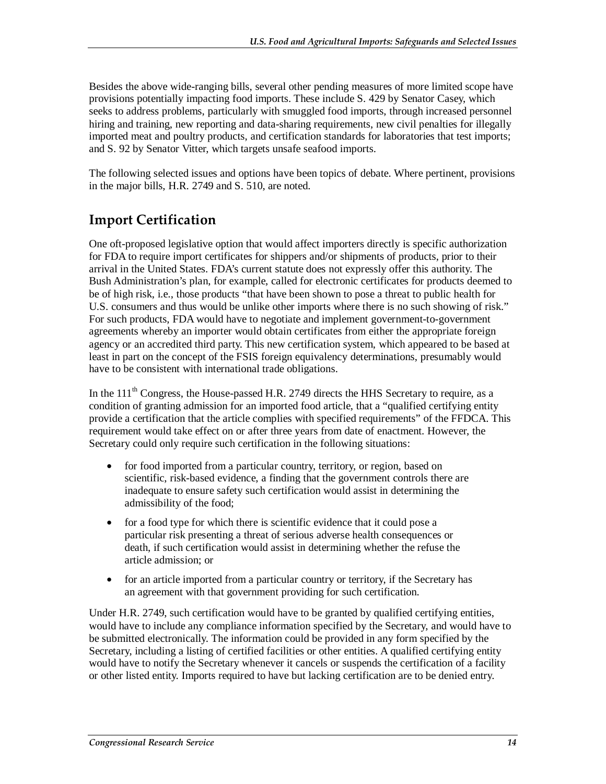Besides the above wide-ranging bills, several other pending measures of more limited scope have provisions potentially impacting food imports. These include S. 429 by Senator Casey, which seeks to address problems, particularly with smuggled food imports, through increased personnel hiring and training, new reporting and data-sharing requirements, new civil penalties for illegally imported meat and poultry products, and certification standards for laboratories that test imports; and S. 92 by Senator Vitter, which targets unsafe seafood imports.

The following selected issues and options have been topics of debate. Where pertinent, provisions in the major bills, H.R. 2749 and S. 510, are noted.

### **Import Certification**

One oft-proposed legislative option that would affect importers directly is specific authorization for FDA to require import certificates for shippers and/or shipments of products, prior to their arrival in the United States. FDA's current statute does not expressly offer this authority. The Bush Administration's plan, for example, called for electronic certificates for products deemed to be of high risk, i.e., those products "that have been shown to pose a threat to public health for U.S. consumers and thus would be unlike other imports where there is no such showing of risk." For such products, FDA would have to negotiate and implement government-to-government agreements whereby an importer would obtain certificates from either the appropriate foreign agency or an accredited third party. This new certification system, which appeared to be based at least in part on the concept of the FSIS foreign equivalency determinations, presumably would have to be consistent with international trade obligations.

In the  $111<sup>th</sup>$  Congress, the House-passed H.R. 2749 directs the HHS Secretary to require, as a condition of granting admission for an imported food article, that a "qualified certifying entity provide a certification that the article complies with specified requirements" of the FFDCA. This requirement would take effect on or after three years from date of enactment. However, the Secretary could only require such certification in the following situations:

- for food imported from a particular country, territory, or region, based on scientific, risk-based evidence, a finding that the government controls there are inadequate to ensure safety such certification would assist in determining the admissibility of the food;
- for a food type for which there is scientific evidence that it could pose a particular risk presenting a threat of serious adverse health consequences or death, if such certification would assist in determining whether the refuse the article admission; or
- for an article imported from a particular country or territory, if the Secretary has an agreement with that government providing for such certification.

Under H.R. 2749, such certification would have to be granted by qualified certifying entities, would have to include any compliance information specified by the Secretary, and would have to be submitted electronically. The information could be provided in any form specified by the Secretary, including a listing of certified facilities or other entities. A qualified certifying entity would have to notify the Secretary whenever it cancels or suspends the certification of a facility or other listed entity. Imports required to have but lacking certification are to be denied entry.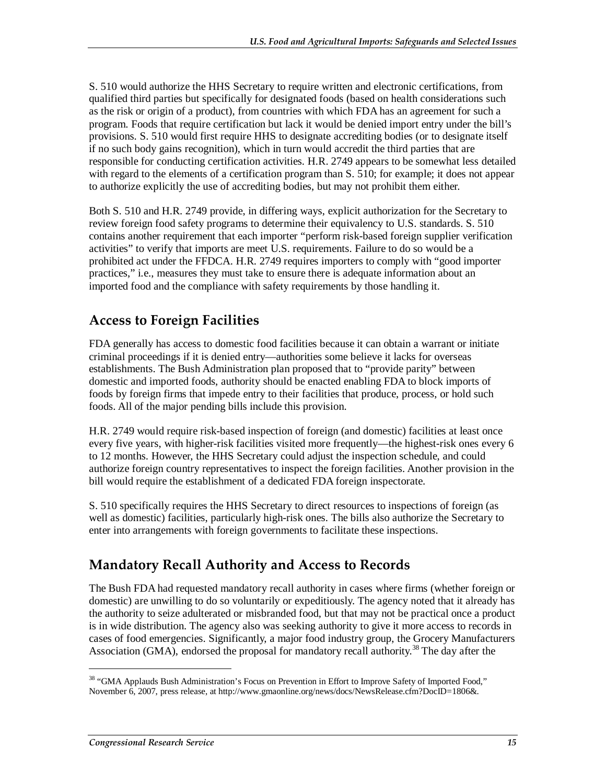S. 510 would authorize the HHS Secretary to require written and electronic certifications, from qualified third parties but specifically for designated foods (based on health considerations such as the risk or origin of a product), from countries with which FDA has an agreement for such a program. Foods that require certification but lack it would be denied import entry under the bill's provisions. S. 510 would first require HHS to designate accrediting bodies (or to designate itself if no such body gains recognition), which in turn would accredit the third parties that are responsible for conducting certification activities. H.R. 2749 appears to be somewhat less detailed with regard to the elements of a certification program than S. 510; for example; it does not appear to authorize explicitly the use of accrediting bodies, but may not prohibit them either.

Both S. 510 and H.R. 2749 provide, in differing ways, explicit authorization for the Secretary to review foreign food safety programs to determine their equivalency to U.S. standards. S. 510 contains another requirement that each importer "perform risk-based foreign supplier verification activities" to verify that imports are meet U.S. requirements. Failure to do so would be a prohibited act under the FFDCA. H.R. 2749 requires importers to comply with "good importer practices," i.e., measures they must take to ensure there is adequate information about an imported food and the compliance with safety requirements by those handling it.

#### **Access to Foreign Facilities**

FDA generally has access to domestic food facilities because it can obtain a warrant or initiate criminal proceedings if it is denied entry—authorities some believe it lacks for overseas establishments. The Bush Administration plan proposed that to "provide parity" between domestic and imported foods, authority should be enacted enabling FDA to block imports of foods by foreign firms that impede entry to their facilities that produce, process, or hold such foods. All of the major pending bills include this provision.

H.R. 2749 would require risk-based inspection of foreign (and domestic) facilities at least once every five years, with higher-risk facilities visited more frequently—the highest-risk ones every 6 to 12 months. However, the HHS Secretary could adjust the inspection schedule, and could authorize foreign country representatives to inspect the foreign facilities. Another provision in the bill would require the establishment of a dedicated FDA foreign inspectorate.

S. 510 specifically requires the HHS Secretary to direct resources to inspections of foreign (as well as domestic) facilities, particularly high-risk ones. The bills also authorize the Secretary to enter into arrangements with foreign governments to facilitate these inspections.

### **Mandatory Recall Authority and Access to Records**

The Bush FDA had requested mandatory recall authority in cases where firms (whether foreign or domestic) are unwilling to do so voluntarily or expeditiously. The agency noted that it already has the authority to seize adulterated or misbranded food, but that may not be practical once a product is in wide distribution. The agency also was seeking authority to give it more access to records in cases of food emergencies. Significantly, a major food industry group, the Grocery Manufacturers Association (GMA), endorsed the proposal for mandatory recall authority.<sup>38</sup> The day after the

<sup>&</sup>lt;sup>38</sup> "GMA Applauds Bush Administration's Focus on Prevention in Effort to Improve Safety of Imported Food," November 6, 2007, press release, at http://www.gmaonline.org/news/docs/NewsRelease.cfm?DocID=1806&.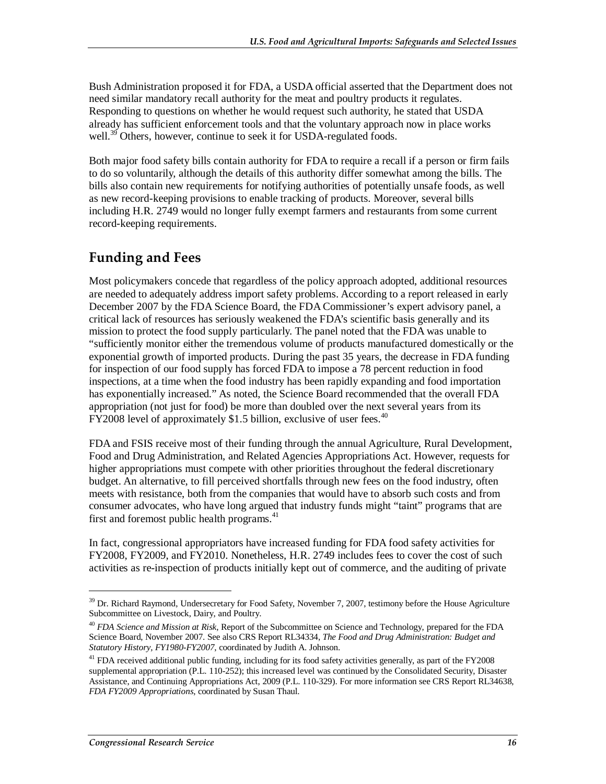Bush Administration proposed it for FDA, a USDA official asserted that the Department does not need similar mandatory recall authority for the meat and poultry products it regulates. Responding to questions on whether he would request such authority, he stated that USDA already has sufficient enforcement tools and that the voluntary approach now in place works well.<sup>39</sup> Others, however, continue to seek it for USDA-regulated foods.

Both major food safety bills contain authority for FDA to require a recall if a person or firm fails to do so voluntarily, although the details of this authority differ somewhat among the bills. The bills also contain new requirements for notifying authorities of potentially unsafe foods, as well as new record-keeping provisions to enable tracking of products. Moreover, several bills including H.R. 2749 would no longer fully exempt farmers and restaurants from some current record-keeping requirements.

### **Funding and Fees**

Most policymakers concede that regardless of the policy approach adopted, additional resources are needed to adequately address import safety problems. According to a report released in early December 2007 by the FDA Science Board, the FDA Commissioner's expert advisory panel, a critical lack of resources has seriously weakened the FDA's scientific basis generally and its mission to protect the food supply particularly. The panel noted that the FDA was unable to "sufficiently monitor either the tremendous volume of products manufactured domestically or the exponential growth of imported products. During the past 35 years, the decrease in FDA funding for inspection of our food supply has forced FDA to impose a 78 percent reduction in food inspections, at a time when the food industry has been rapidly expanding and food importation has exponentially increased." As noted, the Science Board recommended that the overall FDA appropriation (not just for food) be more than doubled over the next several years from its FY2008 level of approximately \$1.5 billion, exclusive of user fees.  $40$ 

FDA and FSIS receive most of their funding through the annual Agriculture, Rural Development, Food and Drug Administration, and Related Agencies Appropriations Act. However, requests for higher appropriations must compete with other priorities throughout the federal discretionary budget. An alternative, to fill perceived shortfalls through new fees on the food industry, often meets with resistance, both from the companies that would have to absorb such costs and from consumer advocates, who have long argued that industry funds might "taint" programs that are first and foremost public health programs.<sup>41</sup>

In fact, congressional appropriators have increased funding for FDA food safety activities for FY2008, FY2009, and FY2010. Nonetheless, H.R. 2749 includes fees to cover the cost of such activities as re-inspection of products initially kept out of commerce, and the auditing of private

<sup>&</sup>lt;sup>39</sup> Dr. Richard Raymond, Undersecretary for Food Safety, November 7, 2007, testimony before the House Agriculture Subcommittee on Livestock, Dairy, and Poultry.

<sup>40</sup> *FDA Science and Mission at Risk*, Report of the Subcommittee on Science and Technology, prepared for the FDA Science Board, November 2007. See also CRS Report RL34334, *The Food and Drug Administration: Budget and Statutory History, FY1980-FY2007*, coordinated by Judith A. Johnson.

 $^{41}$  FDA received additional public funding, including for its food safety activities generally, as part of the FY2008 supplemental appropriation (P.L. 110-252); this increased level was continued by the Consolidated Security, Disaster Assistance, and Continuing Appropriations Act, 2009 (P.L. 110-329). For more information see CRS Report RL34638, *FDA FY2009 Appropriations*, coordinated by Susan Thaul.